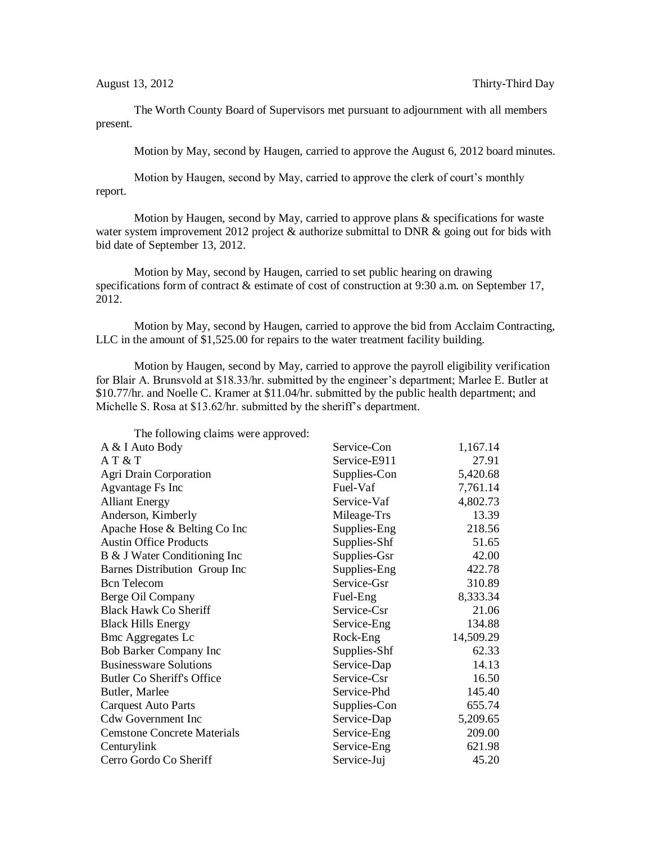The Worth County Board of Supervisors met pursuant to adjournment with all members present.

Motion by May, second by Haugen, carried to approve the August 6, 2012 board minutes.

Motion by Haugen, second by May, carried to approve the clerk of court's monthly report.

Motion by Haugen, second by May, carried to approve plans & specifications for waste water system improvement 2012 project  $\&$  authorize submittal to DNR  $\&$  going out for bids with bid date of September 13, 2012.

Motion by May, second by Haugen, carried to set public hearing on drawing specifications form of contract & estimate of cost of construction at 9:30 a.m. on September 17, 2012.

Motion by May, second by Haugen, carried to approve the bid from Acclaim Contracting, LLC in the amount of \$1,525.00 for repairs to the water treatment facility building.

Motion by Haugen, second by May, carried to approve the payroll eligibility verification for Blair A. Brunsvold at \$18.33/hr. submitted by the engineer's department; Marlee E. Butler at \$10.77/hr. and Noelle C. Kramer at \$11.04/hr. submitted by the public health department; and Michelle S. Rosa at \$13.62/hr. submitted by the sheriff's department.

| The following claims were approved: |              |           |
|-------------------------------------|--------------|-----------|
| A & I Auto Body                     | Service-Con  | 1,167.14  |
| AT & T                              | Service-E911 | 27.91     |
| Agri Drain Corporation              | Supplies-Con | 5,420.68  |
| Agvantage Fs Inc                    | Fuel-Vaf     | 7,761.14  |
| <b>Alliant Energy</b>               | Service-Vaf  | 4,802.73  |
| Anderson, Kimberly                  | Mileage-Trs  | 13.39     |
| Apache Hose & Belting Co Inc        | Supplies-Eng | 218.56    |
| <b>Austin Office Products</b>       | Supplies-Shf | 51.65     |
| B & J Water Conditioning Inc        | Supplies-Gsr | 42.00     |
| Barnes Distribution Group Inc       | Supplies-Eng | 422.78    |
| <b>Bcn</b> Telecom                  | Service-Gsr  | 310.89    |
| Berge Oil Company                   | Fuel-Eng     | 8,333.34  |
| <b>Black Hawk Co Sheriff</b>        | Service-Csr  | 21.06     |
| <b>Black Hills Energy</b>           | Service-Eng  | 134.88    |
| <b>Bmc Aggregates Lc</b>            | Rock-Eng     | 14,509.29 |
| Bob Barker Company Inc              | Supplies-Shf | 62.33     |
| <b>Businessware Solutions</b>       | Service-Dap  | 14.13     |
| <b>Butler Co Sheriff's Office</b>   | Service-Csr  | 16.50     |
| Butler, Marlee                      | Service-Phd  | 145.40    |
| <b>Carquest Auto Parts</b>          | Supplies-Con | 655.74    |
| <b>Cdw Government Inc</b>           | Service-Dap  | 5,209.65  |
| <b>Cemstone Concrete Materials</b>  | Service-Eng  | 209.00    |
| Centurylink                         | Service-Eng  | 621.98    |
| Cerro Gordo Co Sheriff              | Service-Juj  | 45.20     |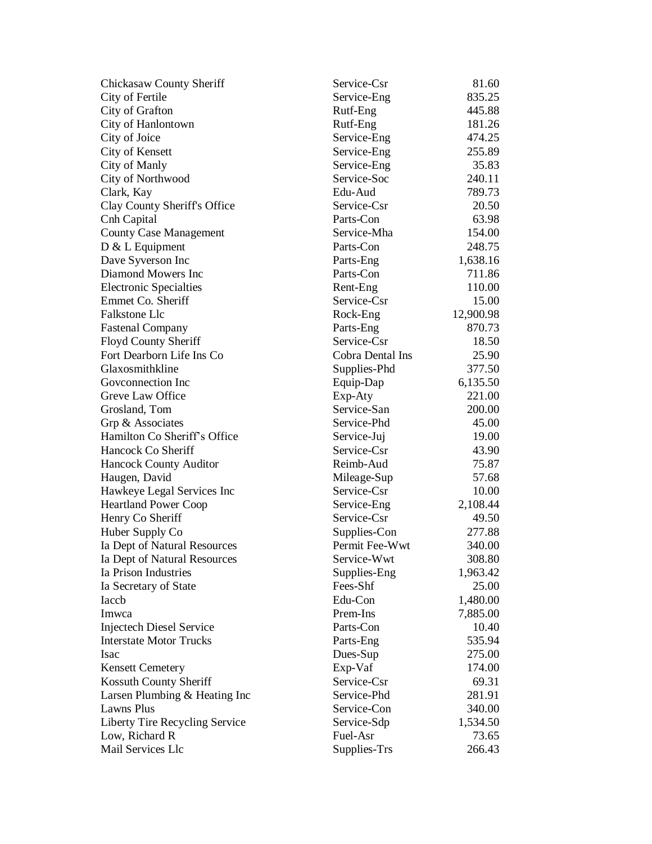| Chickasaw County Sheriff        | Service-Csr      | 81.60     |
|---------------------------------|------------------|-----------|
| City of Fertile                 | Service-Eng      | 835.25    |
| City of Grafton                 | Rutf-Eng         | 445.88    |
| City of Hanlontown              | Rutf-Eng         | 181.26    |
| City of Joice                   | Service-Eng      | 474.25    |
| City of Kensett                 | Service-Eng      | 255.89    |
| City of Manly                   | Service-Eng      | 35.83     |
| City of Northwood               | Service-Soc      | 240.11    |
| Clark, Kay                      | Edu-Aud          | 789.73    |
| Clay County Sheriff's Office    | Service-Csr      | 20.50     |
| Cnh Capital                     | Parts-Con        | 63.98     |
| <b>County Case Management</b>   | Service-Mha      | 154.00    |
| D & L Equipment                 | Parts-Con        | 248.75    |
| Dave Syverson Inc               | Parts-Eng        | 1,638.16  |
| Diamond Mowers Inc              | Parts-Con        | 711.86    |
| <b>Electronic Specialties</b>   | Rent-Eng         | 110.00    |
| Emmet Co. Sheriff               | Service-Csr      | 15.00     |
| Falkstone Llc                   | Rock-Eng         | 12,900.98 |
| <b>Fastenal Company</b>         | Parts-Eng        | 870.73    |
| Floyd County Sheriff            | Service-Csr      | 18.50     |
| Fort Dearborn Life Ins Co       | Cobra Dental Ins | 25.90     |
| Glaxosmithkline                 | Supplies-Phd     | 377.50    |
| Goveonnection Inc               | Equip-Dap        | 6,135.50  |
| Greve Law Office                | Exp-Aty          | 221.00    |
| Grosland, Tom                   | Service-San      | 200.00    |
| Grp & Associates                | Service-Phd      | 45.00     |
| Hamilton Co Sheriff's Office    | Service-Juj      | 19.00     |
| Hancock Co Sheriff              | Service-Csr      | 43.90     |
| <b>Hancock County Auditor</b>   | Reimb-Aud        | 75.87     |
| Haugen, David                   | Mileage-Sup      | 57.68     |
| Hawkeye Legal Services Inc      | Service-Csr      | 10.00     |
| <b>Heartland Power Coop</b>     | Service-Eng      | 2,108.44  |
| Henry Co Sheriff                | Service-Csr      | 49.50     |
| Huber Supply Co                 | Supplies-Con     | 277.88    |
| Ia Dept of Natural Resources    | Permit Fee-Wwt   | 340.00    |
| Ia Dept of Natural Resources    | Service-Wwt      | 308.80    |
| Ia Prison Industries            | Supplies-Eng     | 1,963.42  |
| Ia Secretary of State           | Fees-Shf         | 25.00     |
| Iaccb                           | Edu-Con          | 1,480.00  |
| Imwca                           | Prem-Ins         | 7,885.00  |
| <b>Injectech Diesel Service</b> | Parts-Con        | 10.40     |
| <b>Interstate Motor Trucks</b>  | Parts-Eng        | 535.94    |
| Isac                            | Dues-Sup         | 275.00    |
| <b>Kensett Cemetery</b>         | Exp-Vaf          | 174.00    |
| Kossuth County Sheriff          | Service-Csr      | 69.31     |
| Larsen Plumbing & Heating Inc   | Service-Phd      | 281.91    |
| Lawns Plus                      | Service-Con      | 340.00    |
| Liberty Tire Recycling Service  | Service-Sdp      | 1,534.50  |
| Low, Richard R                  | Fuel-Asr         | 73.65     |
| Mail Services Llc               | Supplies-Trs     | 266.43    |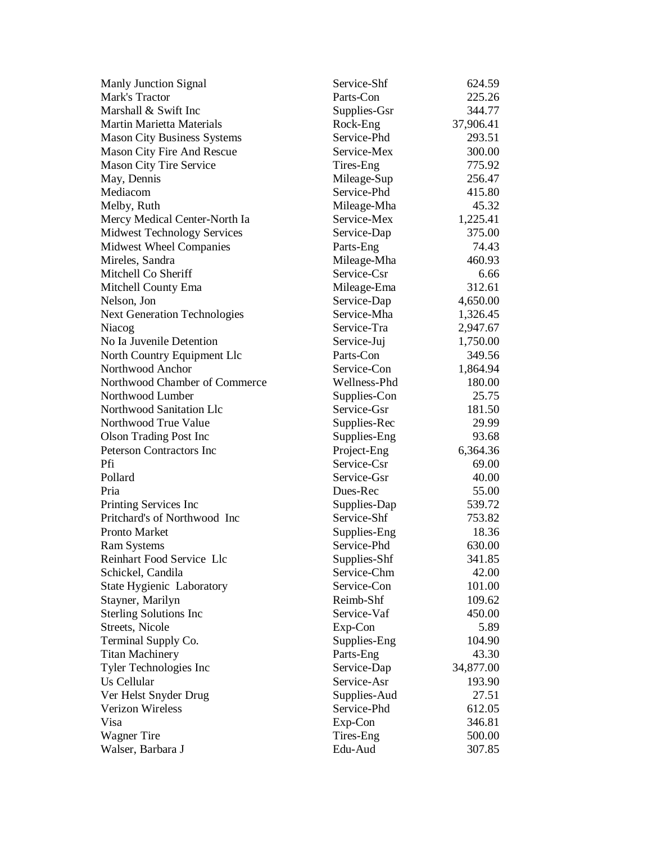| <b>Manly Junction Signal</b>        | Service-Shf  | 624.59    |
|-------------------------------------|--------------|-----------|
| Mark's Tractor                      | Parts-Con    | 225.26    |
| Marshall & Swift Inc                | Supplies-Gsr | 344.77    |
| <b>Martin Marietta Materials</b>    | Rock-Eng     | 37,906.41 |
| <b>Mason City Business Systems</b>  | Service-Phd  | 293.51    |
| Mason City Fire And Rescue          | Service-Mex  | 300.00    |
| <b>Mason City Tire Service</b>      | Tires-Eng    | 775.92    |
| May, Dennis                         | Mileage-Sup  | 256.47    |
| Mediacom                            | Service-Phd  | 415.80    |
| Melby, Ruth                         | Mileage-Mha  | 45.32     |
| Mercy Medical Center-North Ia       | Service-Mex  | 1,225.41  |
| <b>Midwest Technology Services</b>  | Service-Dap  | 375.00    |
| <b>Midwest Wheel Companies</b>      | Parts-Eng    | 74.43     |
| Mireles, Sandra                     | Mileage-Mha  | 460.93    |
| Mitchell Co Sheriff                 | Service-Csr  | 6.66      |
| Mitchell County Ema                 | Mileage-Ema  | 312.61    |
| Nelson, Jon                         | Service-Dap  | 4,650.00  |
| <b>Next Generation Technologies</b> | Service-Mha  | 1,326.45  |
| Niacog                              | Service-Tra  | 2,947.67  |
| No Ia Juvenile Detention            | Service-Juj  | 1,750.00  |
| North Country Equipment Llc         | Parts-Con    | 349.56    |
| Northwood Anchor                    | Service-Con  | 1,864.94  |
| Northwood Chamber of Commerce       | Wellness-Phd | 180.00    |
| Northwood Lumber                    | Supplies-Con | 25.75     |
| Northwood Sanitation Llc            | Service-Gsr  | 181.50    |
| Northwood True Value                | Supplies-Rec | 29.99     |
| <b>Olson Trading Post Inc</b>       | Supplies-Eng | 93.68     |
| <b>Peterson Contractors Inc</b>     | Project-Eng  | 6,364.36  |
| Pfi                                 | Service-Csr  | 69.00     |
| Pollard                             | Service-Gsr  | 40.00     |
| Pria                                | Dues-Rec     | 55.00     |
| Printing Services Inc               | Supplies-Dap | 539.72    |
| Pritchard's of Northwood Inc        | Service-Shf  | 753.82    |
| <b>Pronto Market</b>                | Supplies-Eng | 18.36     |
| <b>Ram Systems</b>                  | Service-Phd  | 630.00    |
| Reinhart Food Service Llc           | Supplies-Shf | 341.85    |
| Schickel, Candila                   | Service-Chm  | 42.00     |
| State Hygienic Laboratory           | Service-Con  | 101.00    |
| Stayner, Marilyn                    | Reimb-Shf    | 109.62    |
| <b>Sterling Solutions Inc</b>       | Service-Vaf  | 450.00    |
| Streets, Nicole                     | Exp-Con      | 5.89      |
| Terminal Supply Co.                 | Supplies-Eng | 104.90    |
| <b>Titan Machinery</b>              | Parts-Eng    | 43.30     |
| Tyler Technologies Inc              | Service-Dap  | 34,877.00 |
| Us Cellular                         | Service-Asr  | 193.90    |
| Ver Helst Snyder Drug               | Supplies-Aud | 27.51     |
| <b>Verizon Wireless</b>             | Service-Phd  | 612.05    |
| Visa                                | Exp-Con      | 346.81    |
| <b>Wagner Tire</b>                  | Tires-Eng    | 500.00    |
| Walser, Barbara J                   | Edu-Aud      | 307.85    |